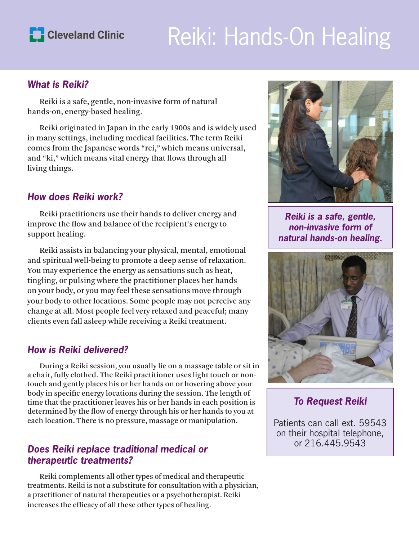

# Reiki: Hands-On Healing

#### *What is Reiki?*

Reiki is a safe, gentle, non-invasive form of natural hands-on, energy-based healing.

Reiki originated in Japan in the early 1900s and is widely used in many settings, including medical facilities. The term Reiki comes from the Japanese words "rei," which means universal, and "ki," which means vital energy that flows through all living things.

#### *How does Reiki work?*

Reiki practitioners use their hands to deliver energy and improve the flow and balance of the recipient's energy to support healing.

Reiki assists in balancing your physical, mental, emotional and spiritual well-being to promote a deep sense of relaxation. You may experience the energy as sensations such as heat, tingling, or pulsing where the practitioner places her hands on your body, or you may feel these sensations move through your body to other locations. Some people may not perceive any change at all. Most people feel very relaxed and peaceful; many clients even fall asleep while receiving a Reiki treatment.

#### *How is Reiki delivered?*

During a Reiki session, you usually lie on a massage table or sit in a chair, fully clothed. The Reiki practitioner uses light touch or nontouch and gently places his or her hands on or hovering above your body in specific energy locations during the session. The length of time that the practitioner leaves his or her hands in each position is determined by the flow of energy through his or her hands to you at each location. There is no pressure, massage or manipulation.

#### *Does Reiki replace traditional medical or therapeutic treatments?*

Reiki complements all other types of medical and therapeutic treatments. Reiki is not a substitute for consultation with a physician, a practitioner of natural therapeutics or a psychotherapist. Reiki increases the efficacy of all these other types of healing.



*Reiki is a safe, gentle, non-invasive form of natural hands-on healing.* 



*To Request Reiki* 

Patients can call ext. 59543 on their hospital telephone, or 216.445.9543